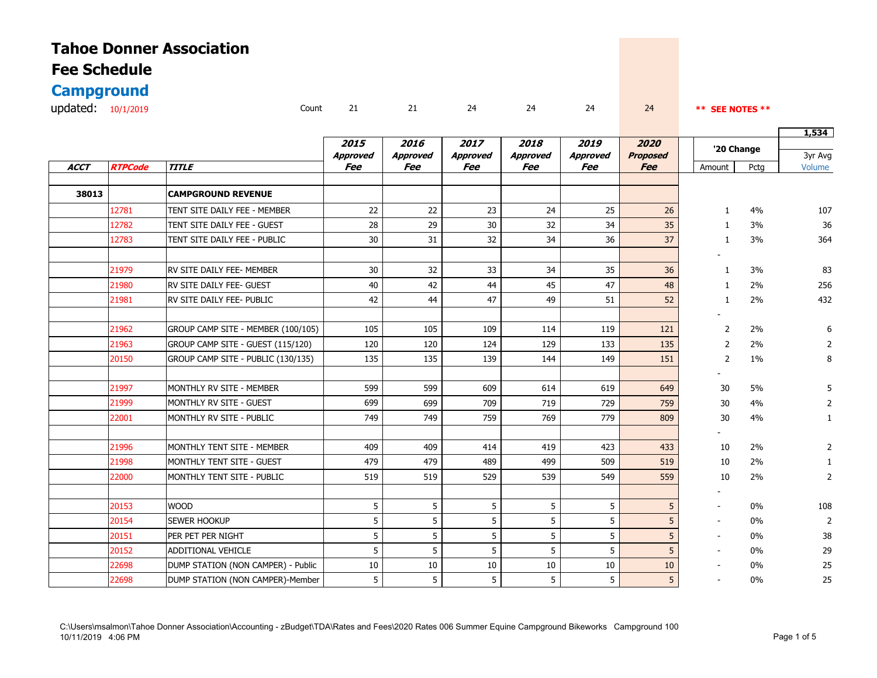| <b>Tahoe Donner Association</b> |       |    |    |    |    |    |    |                 |
|---------------------------------|-------|----|----|----|----|----|----|-----------------|
| <b>Fee Schedule</b>             |       |    |    |    |    |    |    |                 |
| <b>Campground</b>               |       |    |    |    |    |    |    |                 |
| updated: $10/1/2019$            | Count | 21 | 21 | 24 | 24 | 24 | 24 | ** SEE NOTES ** |

|             |                |                                    |                        |                        |                        |                        |                        |                               |                | 1,534 |                   |
|-------------|----------------|------------------------------------|------------------------|------------------------|------------------------|------------------------|------------------------|-------------------------------|----------------|-------|-------------------|
|             |                |                                    | 2015                   | 2016                   | 2017                   | 2018                   | 2019                   | 2020                          | '20 Change     |       |                   |
| <b>ACCT</b> | <b>RTPCode</b> | <b>TITLE</b>                       | <b>Approved</b><br>Fee | <b>Approved</b><br>Fee | <b>Approved</b><br>Fee | <b>Approved</b><br>Fee | <b>Approved</b><br>Fee | <b>Proposed</b><br><b>Fee</b> | Amount         | Pctg  | 3yr Avg<br>Volume |
|             |                |                                    |                        |                        |                        |                        |                        |                               |                |       |                   |
| 38013       |                | <b>CAMPGROUND REVENUE</b>          |                        |                        |                        |                        |                        |                               |                |       |                   |
|             | 12781          | TENT SITE DAILY FEE - MEMBER       | 22                     | 22                     | 23                     | 24                     | 25                     | 26                            | 1              | 4%    | 107               |
|             | 12782          | TENT SITE DAILY FEE - GUEST        | 28                     | 29                     | 30                     | 32                     | 34                     | 35                            | 1              | 3%    | 36                |
|             | 12783          | TENT SITE DAILY FEE - PUBLIC       | 30                     | 31                     | 32                     | 34                     | 36                     | 37                            | 1              | 3%    | 364               |
|             |                |                                    |                        |                        |                        |                        |                        |                               |                |       |                   |
|             | 21979          | RV SITE DAILY FEE- MEMBER          | 30                     | 32                     | 33                     | 34                     | 35                     | 36                            | 1              | 3%    | 83                |
|             | 21980          | RV SITE DAILY FEE- GUEST           | 40                     | 42                     | 44                     | 45                     | 47                     | 48                            | -1             | 2%    | 256               |
|             | 21981          | <b>RV SITE DAILY FEE- PUBLIC</b>   | 42                     | 44                     | 47                     | 49                     | 51                     | 52                            | $\mathbf{1}$   | 2%    | 432               |
|             | 21962          | GROUP CAMP SITE - MEMBER (100/105) | 105                    | 105                    | 109                    | 114                    | 119                    | 121                           | 2              | 2%    | 6                 |
|             | 21963          | GROUP CAMP SITE - GUEST (115/120)  | 120                    | 120                    | 124                    | 129                    | 133                    | 135                           | 2              | 2%    | 2                 |
|             | 20150          | GROUP CAMP SITE - PUBLIC (130/135) | 135                    | 135                    | 139                    | 144                    | 149                    | 151                           | $\overline{2}$ | $1\%$ | 8                 |
|             |                |                                    |                        |                        |                        |                        |                        |                               |                |       |                   |
|             | 21997          | MONTHLY RV SITE - MEMBER           | 599                    | 599                    | 609                    | 614                    | 619                    | 649                           | 30             | 5%    |                   |
|             | 21999          | MONTHLY RV SITE - GUEST            | 699                    | 699                    | 709                    | 719                    | 729                    | 759                           | 30             | 4%    |                   |
|             | 22001          | MONTHLY RV SITE - PUBLIC           | 749                    | 749                    | 759                    | 769                    | 779                    | 809                           | 30             | 4%    |                   |
|             |                |                                    |                        |                        |                        |                        |                        |                               |                |       |                   |
|             | 21996          | MONTHLY TENT SITE - MEMBER         | 409                    | 409                    | 414                    | 419                    | 423                    | 433                           | 10             | 2%    |                   |
|             | 21998          | MONTHLY TENT SITE - GUEST          | 479                    | 479                    | 489                    | 499                    | 509                    | 519                           | 10             | 2%    |                   |
|             | 22000          | MONTHLY TENT SITE - PUBLIC         | 519                    | 519                    | 529                    | 539                    | 549                    | 559                           | 10             | 2%    | 2                 |
|             |                |                                    |                        |                        |                        |                        |                        |                               |                |       |                   |
|             | 20153          | <b>WOOD</b>                        | 5                      | 5                      | 5                      | 5                      | 5                      | 5                             |                | 0%    | 108               |
|             | 20154          | <b>SEWER HOOKUP</b>                | 5                      | 5                      | 5                      | 5                      | 5                      | 5                             |                | 0%    | $\overline{2}$    |
|             | 20151          | PER PET PER NIGHT                  | 5                      | 5                      | 5                      | 5                      | 5                      | 5                             |                | 0%    | 38                |
|             | 20152          | <b>ADDITIONAL VEHICLE</b>          | 5                      | 5                      | 5                      | 5                      | 5                      | 5                             |                | 0%    | 29                |
|             | 22698          | DUMP STATION (NON CAMPER) - Public | 10                     | 10                     | 10                     | 10                     | 10                     | 10                            |                | 0%    | 25                |
|             | 22698          | DUMP STATION (NON CAMPER)-Member   | 5                      | 5                      | 5                      | 5                      | 5                      | 5                             |                | $0\%$ | 25                |
|             |                |                                    |                        |                        |                        |                        |                        |                               |                |       |                   |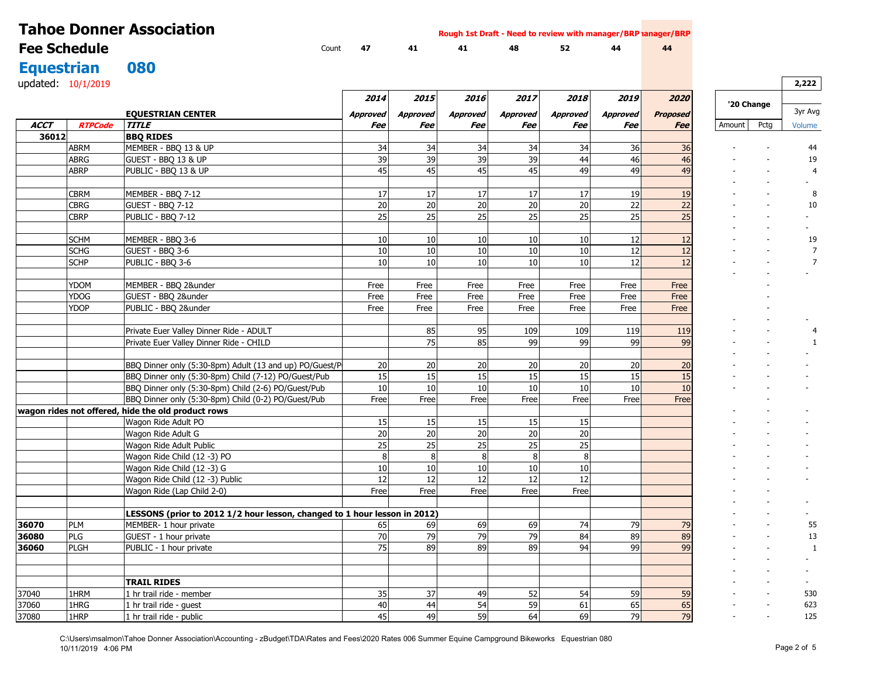|                     |                | <b>Tahoe Donner Association</b>                                           |                 |          |                       | Rough 1st Draft - Need to review with manager/BRP lanager/BRP |                    |                 |                 |            |      |                |
|---------------------|----------------|---------------------------------------------------------------------------|-----------------|----------|-----------------------|---------------------------------------------------------------|--------------------|-----------------|-----------------|------------|------|----------------|
| <b>Fee Schedule</b> |                | Count                                                                     | 47              | 41       | 41                    | 48                                                            | 52                 | 44              | 44              |            |      |                |
| <b>Equestrian</b>   |                | 080                                                                       |                 |          |                       |                                                               |                    |                 |                 |            |      |                |
|                     |                |                                                                           |                 |          |                       |                                                               |                    |                 |                 |            |      |                |
| updated: 10/1/2019  |                |                                                                           |                 |          |                       |                                                               |                    |                 |                 |            |      | 2,222          |
|                     |                |                                                                           | 2014            | 2015     | 2016                  | 2017                                                          | <i><b>2018</b></i> | 2019            | 2020            | '20 Change |      |                |
|                     |                | <b>EQUESTRIAN CENTER</b>                                                  | <b>Approved</b> | Approved | <b>Approved</b>       | <b>Approved</b>                                               | <b>Approved</b>    | <b>Approved</b> | <b>Proposed</b> |            |      | 3yr Avg        |
| ACCT                | <b>RTPCode</b> | <b>TITLE</b>                                                              | Fee             | Fee      | Fee                   | Fee                                                           | Fee                | Fee             | <b>Fee</b>      | Amount     | Pctg | Volume         |
| 36012               |                | <b>BBQ RIDES</b>                                                          |                 |          |                       |                                                               |                    |                 |                 |            |      |                |
|                     | <b>ABRM</b>    | MEMBER - BBQ 13 & UP                                                      | 34              | 34       | 34                    | 34                                                            | 34                 | 36              | 36              |            |      | 44             |
|                     | <b>ABRG</b>    | GUEST - BBQ 13 & UP                                                       | 39              | 39       | 39                    | 39                                                            | 44                 | 46              | 46              |            |      | 19             |
|                     | <b>ABRP</b>    | PUBLIC - BBQ 13 & UP                                                      | 45              | 45       | 45                    | 45                                                            | 49                 | 49              | 49              |            |      | $\overline{4}$ |
|                     |                |                                                                           |                 |          |                       |                                                               |                    |                 |                 |            |      |                |
|                     | <b>CBRM</b>    | MEMBER - BBQ 7-12                                                         | 17              | 17       | 17                    | 17                                                            | 17                 | 19              | 19              |            |      | 8              |
|                     | <b>CBRG</b>    | GUEST - BBQ 7-12                                                          | 20              | 20       | 20                    | 20                                                            | 20                 | 22              | 22              |            |      | 10             |
|                     | <b>CBRP</b>    | PUBLIC - BBQ 7-12                                                         | 25              | 25       | 25                    | 25                                                            | 25                 | 25              | 25              |            |      |                |
|                     |                |                                                                           |                 |          |                       |                                                               |                    |                 |                 |            |      |                |
|                     | <b>SCHM</b>    | MEMBER - BBQ 3-6                                                          | 10              | 10       | 10                    | 10                                                            | 10                 | 12              | 12              |            |      | 19             |
|                     | <b>SCHG</b>    | GUEST - BBO 3-6                                                           | 10              | 10       | 10                    | 10                                                            | 10                 | 12              | 12              |            |      |                |
|                     | <b>SCHP</b>    | PUBLIC - BBQ 3-6                                                          | 10              | 10       | 10                    | 10                                                            | 10                 | 12              | 12              |            |      | $\overline{7}$ |
|                     | YDOM           | MEMBER - BBQ 2&under                                                      | Free            | Free     | Free                  | Free                                                          | Free               | Free            | Free            |            |      |                |
|                     | YDOG           | GUEST - BBQ 2&under                                                       | Free            | Free     | Free                  | Free                                                          | Free               | Free            | Free            |            |      |                |
|                     | YDOP           | PUBLIC - BBQ 2&under                                                      | Free            | Free     | Free                  | Free                                                          | Free               | Free            | Free            |            |      |                |
|                     |                |                                                                           |                 |          |                       |                                                               |                    |                 |                 |            |      |                |
|                     |                | Private Euer Valley Dinner Ride - ADULT                                   |                 | 85       | 95                    | 109                                                           | 109                | 119             | 119             |            |      |                |
|                     |                | Private Euer Valley Dinner Ride - CHILD                                   |                 | 75       | 85                    | 99                                                            | 99                 | 99              | 99              |            |      |                |
|                     |                |                                                                           |                 |          |                       |                                                               |                    |                 |                 |            |      |                |
|                     |                | BBQ Dinner only (5:30-8pm) Adult (13 and up) PO/Guest/P                   | 20              | 20       | 20                    | 20                                                            | 20                 | 20              | 20              |            |      |                |
|                     |                | BBQ Dinner only (5:30-8pm) Child (7-12) PO/Guest/Pub                      | 15              | 15       | 15                    | 15                                                            | 15                 | 15              | 15              |            |      |                |
|                     |                | BBQ Dinner only (5:30-8pm) Child (2-6) PO/Guest/Pub                       | 10              | 10       | 10                    | 10                                                            | 10                 | 10              | 10              |            |      |                |
|                     |                | BBQ Dinner only (5:30-8pm) Child (0-2) PO/Guest/Pub                       | Free            | Free     | Free                  | Free                                                          | Free               | Free            | Free            |            |      |                |
|                     |                | wagon rides not offered, hide the old product rows                        |                 |          |                       |                                                               |                    |                 |                 |            |      |                |
|                     |                | Wagon Ride Adult PO                                                       | 15              | 15       | 15                    | 15                                                            | 15                 |                 |                 |            |      |                |
|                     |                | Wagon Ride Adult G                                                        | 20              | 20       | 20                    | 20                                                            | 20                 |                 |                 |            |      |                |
|                     |                | Wagon Ride Adult Public                                                   | 25              | 25       | 25                    | 25                                                            | 25                 |                 |                 |            |      |                |
|                     |                | Wagon Ride Child (12 -3) PO                                               | 8               | 8        | 8                     | 8                                                             | 8                  |                 |                 |            |      |                |
|                     |                | Wagon Ride Child (12 -3) G                                                | 10              | 10       | 10                    | 10                                                            | 10                 |                 |                 |            |      |                |
|                     |                | Wagon Ride Child (12 -3) Public                                           | 12              | 12       | 12                    | 12                                                            | 12                 |                 |                 |            |      |                |
|                     |                | Wagon Ride (Lap Child 2-0)                                                | Free            | Free     | Free                  | Free                                                          | Free               |                 |                 |            |      |                |
|                     |                |                                                                           |                 |          |                       |                                                               |                    |                 |                 |            |      |                |
|                     |                | LESSONS (prior to 2012 1/2 hour lesson, changed to 1 hour lesson in 2012) |                 |          |                       |                                                               |                    |                 |                 |            |      |                |
| 36070               | <b>PLM</b>     | MEMBER- 1 hour private                                                    | 65              | 69       | 69                    | 69                                                            | 74                 | 79              | 79              |            |      | 55             |
| 36080               | PLG            | GUEST - 1 hour private                                                    | 70              | 79       | 79                    | 79                                                            | 84                 | 89              | 89              |            |      | 13             |
| 36060               | <b>PLGH</b>    | PUBLIC - 1 hour private                                                   | 75              | 89       | 89                    | 89                                                            | 94                 | 99              | 99              |            |      | $\mathbf{1}$   |
|                     |                |                                                                           |                 |          |                       |                                                               |                    |                 |                 |            |      |                |
|                     |                |                                                                           |                 |          |                       |                                                               |                    |                 |                 |            |      |                |
|                     |                | <b>TRAIL RIDES</b>                                                        |                 |          |                       |                                                               |                    |                 |                 |            |      |                |
| 37040<br>37060      | 1HRM<br>1HRG   | 1 hr trail ride - member<br>1 hr trail ride - guest                       | 35<br>40        | 37<br>44 | 49<br>$\overline{54}$ | 52<br>59                                                      | 54<br>61           | 59<br>65        | 59              |            |      | 530<br>623     |
| 37080               |                |                                                                           | 45              | 49       | 59                    | 64                                                            | 69                 | 79              | 65<br>79        |            |      |                |
|                     | 1HRP           | 1 hr trail ride - public                                                  |                 |          |                       |                                                               |                    |                 |                 |            |      | 125            |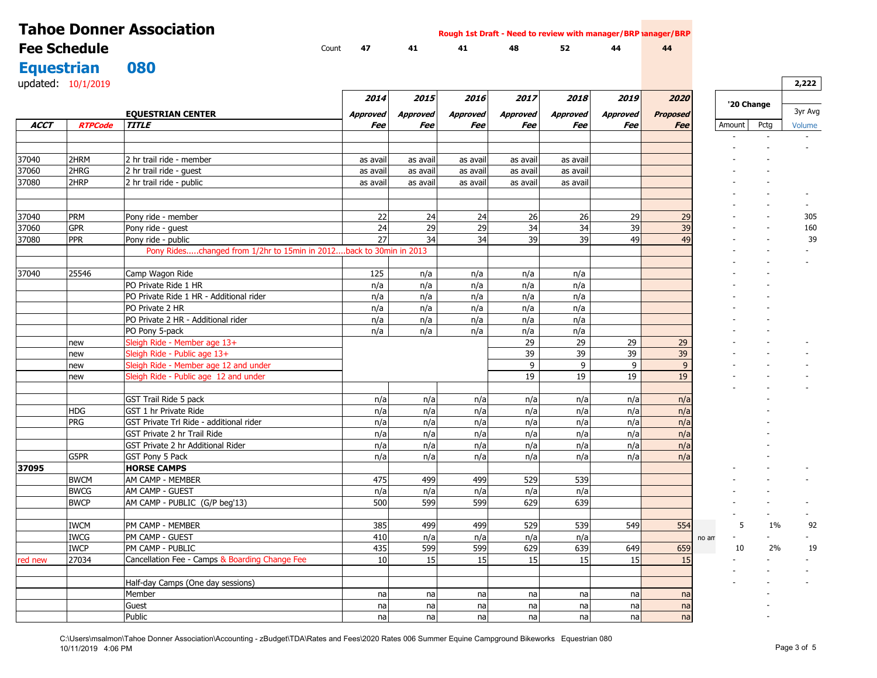|                   |                     | <b>Tahoe Donner Association</b>                                    |                      |                      | Rough 1st Draft - Need to review with manager/BRP lanager/BRP |                      |                      |                 |                 |        |            |         |
|-------------------|---------------------|--------------------------------------------------------------------|----------------------|----------------------|---------------------------------------------------------------|----------------------|----------------------|-----------------|-----------------|--------|------------|---------|
|                   | <b>Fee Schedule</b> |                                                                    | Count<br>47          | 41                   | 41                                                            | 48                   | 52                   | 44              | 44              |        |            |         |
| <b>Equestrian</b> |                     | 080                                                                |                      |                      |                                                               |                      |                      |                 |                 |        |            |         |
|                   | updated: 10/1/2019  |                                                                    |                      |                      |                                                               |                      |                      |                 |                 |        |            | 2,222   |
|                   |                     |                                                                    |                      |                      |                                                               |                      |                      |                 |                 |        |            |         |
|                   |                     |                                                                    | 2014                 | 2015                 | 2016                                                          | 2017                 | 2018                 | 2019            | 2020            |        | '20 Change |         |
|                   |                     | <b>EQUESTRIAN CENTER</b>                                           | <b>Approved</b>      | <b>Approved</b>      | <b>Approved</b>                                               | <b>Approved</b>      | <b>Approved</b>      | <b>Approved</b> | <b>Proposed</b> |        |            | 3yr Avg |
| <b>ACCT</b>       | <b>RTPCode</b>      | <b>TITLE</b>                                                       | Fee                  | Fee                  | Fee                                                           | Fee                  | Fee                  | Fee             | <b>Fee</b>      | Amount | Pctg       | Volume  |
|                   |                     |                                                                    |                      |                      |                                                               |                      |                      |                 |                 |        |            |         |
| 37040             | 2HRM                | 2 hr trail ride - member                                           |                      |                      |                                                               |                      |                      |                 |                 |        |            |         |
| 37060             | 2HRG                | 2 hr trail ride - quest                                            | as avail<br>as avail | as avail             | as avail<br>as avail                                          | as avail<br>as avail | as avail<br>as avail |                 |                 |        |            |         |
| 37080             | 2HRP                | 2 hr trail ride - public                                           | as avail             | as avail<br>as avail | as avail                                                      | as avail             | as avail             |                 |                 |        |            |         |
|                   |                     |                                                                    |                      |                      |                                                               |                      |                      |                 |                 |        |            |         |
| 37040             | <b>PRM</b>          | Pony ride - member                                                 | 22                   | 24                   | 24                                                            | 26                   | 26                   | 29              | 29              |        |            | 305     |
| 37060             | <b>GPR</b>          | Pony ride - quest                                                  | 24                   | 29                   | 29                                                            | 34                   | 34                   | 39              | 39              |        |            | 160     |
| 37080             | <b>PPR</b>          | Pony ride - public                                                 | 27                   | 34                   | 34                                                            | 39                   | 39                   | 49              | 49              |        |            | 39      |
|                   |                     | Pony Rideschanged from 1/2hr to 15min in 2012back to 30min in 2013 |                      |                      |                                                               |                      |                      |                 |                 |        |            |         |
|                   |                     |                                                                    |                      |                      |                                                               |                      |                      |                 |                 |        |            |         |
| 37040             | 25546               | Camp Wagon Ride                                                    | 125                  | n/a                  | n/a                                                           | n/a                  | n/a                  |                 |                 |        |            |         |
|                   |                     | PO Private Ride 1 HR                                               | n/a                  | n/a                  | n/a                                                           | n/a                  | n/a                  |                 |                 |        |            |         |
|                   |                     | PO Private Ride 1 HR - Additional rider                            | n/a                  | n/a                  | n/a                                                           | n/a                  | n/a                  |                 |                 |        |            |         |
|                   |                     | PO Private 2 HR                                                    | n/a                  | n/a                  | n/a                                                           | n/a                  | n/a                  |                 |                 |        |            |         |
|                   |                     | PO Private 2 HR - Additional rider                                 | n/a                  | n/a                  | n/a                                                           | n/a                  | n/a                  |                 |                 |        |            |         |
|                   |                     | PO Pony 5-pack                                                     | n/a                  | n/a                  | n/a                                                           | n/a                  | n/a                  |                 |                 |        |            |         |
|                   | new                 | Sleigh Ride - Member age 13+                                       |                      |                      |                                                               | 29                   | 29                   | 29              | 29              |        |            |         |
|                   | new                 | Sleigh Ride - Public age 13+                                       |                      |                      |                                                               | 39                   | 39                   | 39              | 39              |        |            |         |
|                   | new                 | Sleigh Ride - Member age 12 and under                              |                      |                      |                                                               | 9                    | 9                    | 9               | 9               |        |            |         |
|                   | new                 | Sleigh Ride - Public age 12 and under                              |                      |                      |                                                               | 19                   | 19                   | 19              | 19              |        |            |         |
|                   |                     |                                                                    |                      |                      |                                                               |                      |                      |                 |                 |        |            |         |
|                   |                     | GST Trail Ride 5 pack                                              | n/a                  | n/a                  | n/a                                                           | n/a                  | n/a                  | n/a             | n/a             |        |            |         |
|                   | HDG                 | GST 1 hr Private Ride                                              | n/a                  | n/a                  | n/a                                                           | n/a                  | n/a                  | n/a             | n/a             |        |            |         |
|                   | <b>PRG</b>          | GST Private Trl Ride - additional rider                            | n/a                  | n/a                  | n/a                                                           | n/a                  | n/a                  | n/a             | n/a             |        |            |         |
|                   |                     | GST Private 2 hr Trail Ride                                        | n/a                  | n/a                  | n/a                                                           | n/a                  | n/a                  | n/a             | n/a             |        |            |         |
|                   |                     | GST Private 2 hr Additional Rider                                  | n/a                  | n/a                  | n/a                                                           | n/a                  | n/a                  | n/a             | n/a             |        |            |         |
|                   | G5PR                | GST Pony 5 Pack                                                    | n/a                  | n/a                  | n/a                                                           | n/a                  | n/a                  | n/a             | n/a             |        |            |         |
| 37095             |                     | <b>HORSE CAMPS</b>                                                 |                      |                      |                                                               |                      |                      |                 |                 |        |            |         |
|                   | <b>BWCM</b>         | AM CAMP - MEMBER                                                   | 475                  | 499                  | 499                                                           | 529                  | 539                  |                 |                 |        |            |         |
|                   | <b>BWCG</b>         | AM CAMP - GUEST                                                    | n/a                  | n/a                  | n/a                                                           | n/a                  | n/a                  |                 |                 |        |            |         |
|                   | <b>BWCP</b>         | AM CAMP - PUBLIC (G/P beg'13)                                      | 500                  | 599                  | 599                                                           | 629                  | 639                  |                 |                 |        |            |         |
|                   | <b>IWCM</b>         | PM CAMP - MEMBER                                                   | 385                  | 499                  | 499                                                           | 529                  | 539                  | 549             | 554             | 5      | 1%         | 92      |
|                   | <b>IWCG</b>         | PM CAMP - GUEST                                                    | 410                  | n/a                  | n/a                                                           | n/a                  | n/a                  |                 |                 | no am  | $\sim$     | $\sim$  |
|                   | <b>IWCP</b>         | PM CAMP - PUBLIC                                                   | 435                  | 599                  | 599                                                           | 629                  | 639                  | 649             | 659             | 10     | 2%         | 19      |
| red new           | 27034               | Cancellation Fee - Camps & Boarding Change Fee                     | 10                   | 15                   | 15                                                            | 15                   | 15                   | 15              | 15              |        |            | $\sim$  |
|                   |                     | Half-day Camps (One day sessions)                                  |                      |                      |                                                               |                      |                      |                 |                 |        |            |         |
|                   |                     | Member                                                             | na                   | na                   | nal                                                           | nal                  | na                   | na              | na              |        |            |         |
|                   |                     | Guest                                                              | na                   | na                   | na                                                            | na                   | na                   | na              | na              |        |            |         |
|                   |                     | Public                                                             | na                   | na                   | nal                                                           | nal                  | nal                  | na              | na              |        |            |         |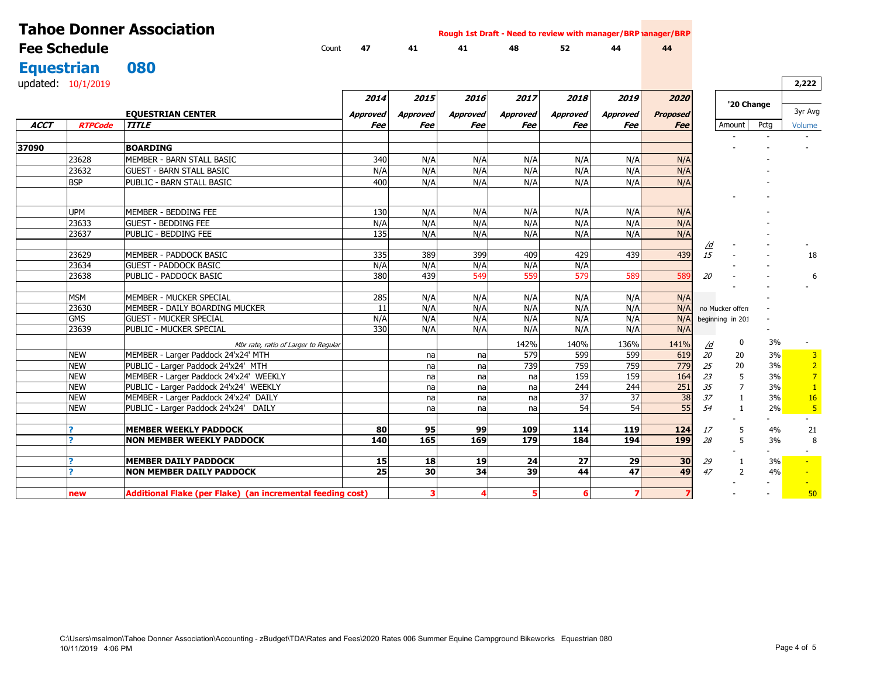| <b>Tahoe Donner Association</b><br>Rough 1st Draft - Need to review with manager/BRP lanager/BRP |                    |                                                                  |                 |                 |                  |                 |                 |                 |                 |           |                  |                          |                 |
|--------------------------------------------------------------------------------------------------|--------------------|------------------------------------------------------------------|-----------------|-----------------|------------------|-----------------|-----------------|-----------------|-----------------|-----------|------------------|--------------------------|-----------------|
| <b>Fee Schedule</b>                                                                              |                    | Count                                                            | 47              | 41              | 41               | 48              | 52              | 44              | 44              |           |                  |                          |                 |
| <b>Equestrian</b>                                                                                |                    | 080                                                              |                 |                 |                  |                 |                 |                 |                 |           |                  |                          |                 |
|                                                                                                  | updated: 10/1/2019 |                                                                  |                 |                 |                  |                 |                 |                 |                 |           |                  |                          | 2,222           |
|                                                                                                  |                    |                                                                  |                 |                 |                  |                 |                 |                 |                 |           |                  |                          |                 |
|                                                                                                  |                    |                                                                  | 2014            | 2015            | 2016             | 2017            | 2018            | 2019            | 2020            |           | '20 Change       |                          |                 |
|                                                                                                  |                    | <b>EQUESTRIAN CENTER</b>                                         | <b>Approved</b> | <b>Approved</b> | Approved         | <b>Approved</b> | <b>Approved</b> | <b>Approved</b> | <b>Proposed</b> |           |                  |                          | 3yr Avg         |
| <b>ACCT</b>                                                                                      | <b>RTPCode</b>     | <b>TITLE</b>                                                     | Fee             | Fee             | Fee              | Fee             | Fee             | Fee             | <b>Fee</b>      |           | Amount           | Pctg                     | Volume          |
|                                                                                                  |                    |                                                                  |                 |                 |                  |                 |                 |                 |                 |           |                  |                          |                 |
| 37090                                                                                            |                    | <b>BOARDING</b>                                                  |                 |                 |                  |                 |                 |                 |                 |           |                  |                          |                 |
|                                                                                                  | 23628              | MEMBER - BARN STALL BASIC                                        | 340             | N/A             | N/A              | N/A             | N/A             | N/A             | N/A             |           |                  |                          |                 |
|                                                                                                  | 23632              | <b>GUEST - BARN STALL BASIC</b>                                  | N/A             | N/A             | N/A              | N/A             | N/A             | N/A             | N/A             |           |                  |                          |                 |
|                                                                                                  | <b>BSP</b>         | PUBLIC - BARN STALL BASIC                                        | 400             | N/A             | N/A              | N/A             | N/A             | N/A             | N/A             |           |                  |                          |                 |
|                                                                                                  |                    |                                                                  |                 |                 |                  |                 |                 |                 |                 |           |                  |                          |                 |
|                                                                                                  | <b>UPM</b>         | MEMBER - BEDDING FEE                                             | 130             | N/A             | N/A              | N/A             | N/A             | N/A             | N/A             |           |                  |                          |                 |
|                                                                                                  | 23633              | <b>GUEST - BEDDING FEE</b>                                       | N/A             | N/A             | N/A              | N/A             | N/A             | N/A             | N/A             |           |                  |                          |                 |
|                                                                                                  | 23637              | PUBLIC - BEDDING FEE                                             | 135             | N/A             | N/A              | N/A             | N/A             | N/A             | N/A             |           |                  |                          |                 |
|                                                                                                  |                    |                                                                  |                 |                 |                  |                 |                 |                 |                 | <u>/d</u> |                  |                          |                 |
|                                                                                                  | 23629              | MEMBER - PADDOCK BASIC                                           | 335             | 389             | 399              | 409             | 429             | 439             | 439             | 15        |                  |                          | 18              |
|                                                                                                  | 23634              | <b>GUEST - PADDOCK BASIC</b>                                     | N/A             | N/A             | N/A              | N/A             | N/A             |                 |                 |           |                  |                          |                 |
|                                                                                                  | 23638              | PUBLIC - PADDOCK BASIC                                           | 380             | 439             | 549              | 559             | 579             | 589             | 589             | 20        |                  |                          | 6               |
|                                                                                                  |                    |                                                                  |                 |                 |                  |                 |                 |                 |                 |           |                  |                          |                 |
|                                                                                                  | <b>MSM</b>         | MEMBER - MUCKER SPECIAL                                          | 285             | N/A             | N/A              | N/A             | N/A             | N/A             | N/A             |           |                  |                          |                 |
|                                                                                                  | 23630              | MEMBER - DAILY BOARDING MUCKER                                   | 11              | N/A             | N/A              | N/A             | N/A             | N/A             | N/A             |           | no Mucker offer  |                          |                 |
|                                                                                                  | <b>GMS</b>         | <b>GUEST - MUCKER SPECIAL</b>                                    | N/A             | N/A             | N/A              | N/A             | N/A             | N/A             | N/A             |           | beginning in 201 |                          |                 |
|                                                                                                  | 23639              | PUBLIC - MUCKER SPECIAL                                          | 330             | N/A             | N/A              | N/A             | N/A             | N/A             | N/A             |           |                  |                          |                 |
|                                                                                                  |                    | Mbr rate, ratio of Larger to Regular                             |                 |                 |                  | 142%            | 140%            | 136%            | 141%            | /d        | 0                | 3%                       |                 |
|                                                                                                  | <b>NEW</b>         | MEMBER - Larger Paddock 24'x24' MTH                              |                 | na              | na               | 579             | 599             | 599             | 619             | 20        | 20               | 3%                       | $\overline{3}$  |
|                                                                                                  | <b>NEW</b>         | PUBLIC - Larger Paddock 24'x24' MTH                              |                 | nal             | na               | 739             | 759             | 759             | 779             | 25        | 20               | 3%                       | $\overline{2}$  |
|                                                                                                  | <b>NEW</b>         | MEMBER - Larger Paddock 24'x24' WEEKLY                           |                 | na              | na               | na              | 159             | 159             | 164             | 23        | 5                | 3%                       | $\overline{7}$  |
|                                                                                                  | <b>NEW</b>         | PUBLIC - Larger Paddock 24'x24' WEEKLY                           |                 | na              | na               | na              | 244             | 244             | 251             | 35        | $\overline{7}$   | 3%                       | $\vert 1 \vert$ |
|                                                                                                  | <b>NEW</b>         | MEMBER - Larger Paddock 24'x24' DAILY                            |                 | na              | na               | na              | 37              | 37              | 38              | 37        |                  | 3%                       | <b>16</b>       |
|                                                                                                  | <b>NEW</b>         | PUBLIC - Larger Paddock 24'x24' DAILY                            |                 | na              | na               | na              | 54              | 54              | 55              | 54        | $\mathbf{1}$     | 2%                       | 5 <sup>1</sup>  |
|                                                                                                  |                    |                                                                  |                 |                 |                  |                 |                 |                 |                 |           |                  |                          |                 |
|                                                                                                  | $\overline{ }$     | <b>MEMBER WEEKLY PADDOCK</b><br><b>NON MEMBER WEEKLY PADDOCK</b> | 80<br>140       | 95<br>165       | 99<br><b>169</b> | 109<br>179      | 114<br>184      | 119<br>194      | 124<br>199      | 17<br>28  | 5<br>5           | 4%                       | 21<br>8         |
|                                                                                                  |                    |                                                                  |                 |                 |                  |                 |                 |                 |                 |           |                  | 3%                       |                 |
|                                                                                                  | $\overline{ }$     | <b>MEMBER DAILY PADDOCK</b>                                      | 15              | 18              | 19               | 24              | 27              | 29              | 30 <sub>l</sub> | 29        | -1               | 3%                       | $\sim$          |
|                                                                                                  | $\overline{ }$     | <b>NON MEMBER DAILY PADDOCK</b>                                  | 25              | 30 <sup>1</sup> | 34               | 39              | 44              | 47              | 49              | 47        | $\mathcal{P}$    | 4%                       |                 |
|                                                                                                  |                    |                                                                  |                 |                 |                  |                 |                 |                 |                 |           |                  |                          |                 |
|                                                                                                  | new                | Additional Flake (per Flake) (an incremental feeding cost)       |                 | 3               |                  | 5               | 6               |                 | 7               |           |                  | $\overline{\phantom{a}}$ | 50              |